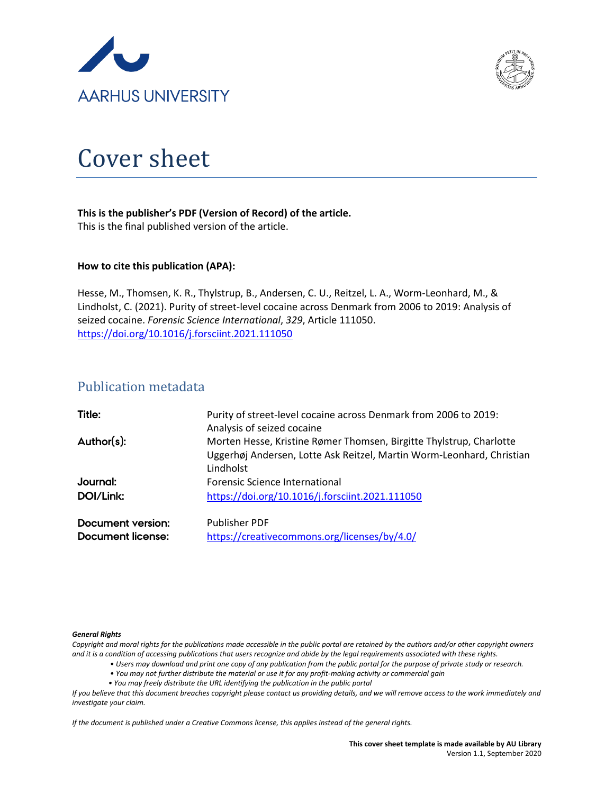



# Cover sheet

# **This is the publisher's PDF (Version of Record) of the article.**

This is the final published version of the article.

# **How to cite this publication (APA):**

Hesse, M., Thomsen, K. R., Thylstrup, B., Andersen, C. U., Reitzel, L. A., Worm-Leonhard, M., & Lindholst, C. (2021). Purity of street-level cocaine across Denmark from 2006 to 2019: Analysis of seized cocaine. *Forensic Science International*, *329*, Article 111050. <https://doi.org/10.1016/j.forsciint.2021.111050>

# Publication metadata

| Title:            | Purity of street-level cocaine across Denmark from 2006 to 2019:                                                                                          |
|-------------------|-----------------------------------------------------------------------------------------------------------------------------------------------------------|
| Author(s):        | Analysis of seized cocaine                                                                                                                                |
|                   | Morten Hesse, Kristine Rømer Thomsen, Birgitte Thylstrup, Charlotte<br>Uggerhøj Andersen, Lotte Ask Reitzel, Martin Worm-Leonhard, Christian<br>Lindholst |
| Journal:          | Forensic Science International                                                                                                                            |
| DOI/Link:         | https://doi.org/10.1016/j.forsciint.2021.111050                                                                                                           |
| Document version: | <b>Publisher PDF</b>                                                                                                                                      |

| Document version: | <b>Publisher PDF</b>                         |
|-------------------|----------------------------------------------|
| Document license: | https://creativecommons.org/licenses/by/4.0/ |

# *General Rights*

*Copyright and moral rights for the publications made accessible in the public portal are retained by the authors and/or other copyright owners and it is a condition of accessing publications that users recognize and abide by the legal requirements associated with these rights.*

- *Users may download and print one copy of any publication from the public portal for the purpose of private study or research.*
- *You may not further distribute the material or use it for any profit-making activity or commercial gain*
- *You may freely distribute the URL identifying the publication in the public portal*

*If you believe that this document breaches copyright please contact us providing details, and we will remove access to the work immediately and investigate your claim.*

*If the document is published under a Creative Commons license, this applies instead of the general rights.*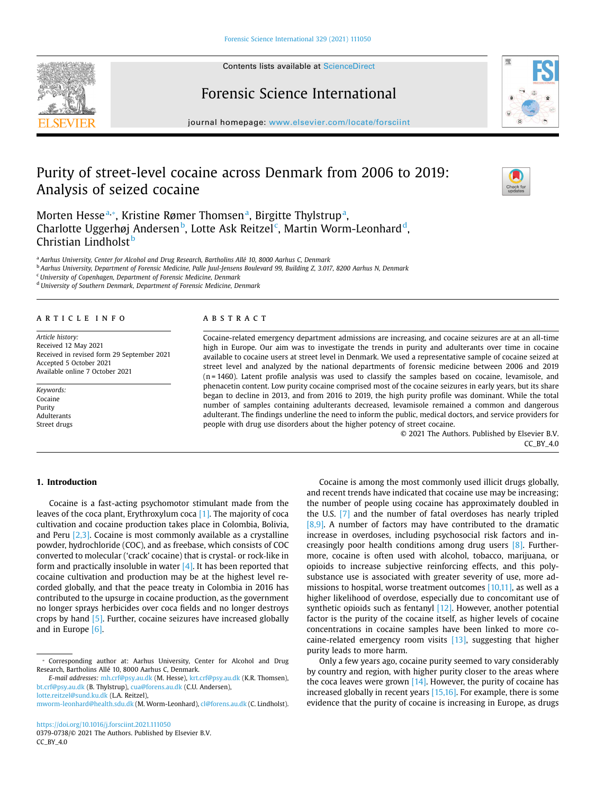Contents lists available at [ScienceDirect](http://www.sciencedirect.com/science/journal/03790738) 

# Forensic Science International

journal homepage: [www.elsevier.com/locate/forsciint](https://www.elsevier.com/locate/forsciint)

# Purity of street-level cocaine across Denmark from 2006 to 2019: Analysis of seized cocaine

Morten Hesse<sup>[a,](#page-1-0)\*</sup>, Kristine Rømer Thomsen<sup>[a](#page-1-0)</sup>, Birgitte Thylstrup<sup>a</sup>, Charlotte Uggerhøj Andersen<sup>[b](#page-1-2)</sup>, Lotte Ask Reitzel<sup>[c](#page-1-3)</sup>, Martin Worm-Leonhar[d](#page-1-4)<sup>d</sup>, Christian Lindholst<sup>[b](#page-1-2)</sup>

<span id="page-1-0"></span><sup>a</sup>*Aarhus University, Center for Alcohol and Drug Research, Bartholins Allé 10, 8000 Aarhus C, Denmark* 

<span id="page-1-2"></span><sup>b</sup>*Aarhus University, Department of Forensic Medicine, Palle Juul-Jensens Boulevard 99, Building Z, 3.017, 8200 Aarhus N, Denmark* 

<span id="page-1-3"></span><sup>c</sup>*University of Copenhagen, Department of Forensic Medicine, Denmark* 

<span id="page-1-4"></span><sup>d</sup>*University of Southern Denmark, Department of Forensic Medicine, Denmark* 

#### article info

*Article history:*  Received 12 May 2021 Received in revised form 29 September 2021 Accepted 5 October 2021 Available online 7 October 2021

*Keywords:*  Cocaine Purity Adulterants Street drugs

#### **ABSTRACT**

Cocaine-related emergency department admissions are increasing, and cocaine seizures are at an all-time high in Europe. Our aim was to investigate the trends in purity and adulterants over time in cocaine available to cocaine users at street level in Denmark. We used a representative sample of cocaine seized at street level and analyzed by the national departments of forensic medicine between 2006 and 2019 (n = 1460). Latent profile analysis was used to classify the samples based on cocaine, levamisole, and phenacetin content. Low purity cocaine comprised most of the cocaine seizures in early years, but its share began to decline in 2013, and from 2016 to 2019, the high purity profile was dominant. While the total number of samples containing adulterants decreased, levamisole remained a common and dangerous adulterant. The findings underline the need to inform the public, medical doctors, and service providers for people with drug use disorders about the higher potency of street cocaine.

> © 2021 The Authors. Published by Elsevier B.V. CC\_BY\_4.0

# **1. Introduction**

Cocaine is a fast-acting psychomotor stimulant made from the leaves of the coca plant, Erythroxylum coca [\[1\]](#page-7-0). The majority of coca cultivation and cocaine production takes place in Colombia, Bolivia, and Peru [\[2,3\].](#page-7-1) Cocaine is most commonly available as a crystalline powder, hydrochloride (COC), and as freebase, which consists of COC converted to molecular ('crack' cocaine) that is crystal‐ or rock‐like in form and practically insoluble in water  $[4]$ . It has been reported that cocaine cultivation and production may be at the highest level recorded globally, and that the peace treaty in Colombia in 2016 has contributed to the upsurge in cocaine production, as the government no longer sprays herbicides over coca fields and no longer destroys crops by hand [\[5\].](#page-7-3) Further, cocaine seizures have increased globally and in Europe [\[6\]](#page-7-4).

*E-mail addresses:* [mh.crf@psy.au.dk](mailto:mh.crf@psy.au.dk) (M. Hesse), [krt.crf@psy.au.dk](mailto:krt.crf@psy.au.dk) (K.R. Thomsen), [bt.crf@psy.au.dk](mailto:bt.crf@psy.au.dk) (B. Thylstrup), [cua@forens.au.dk](mailto:cua@forens.au.dk) (C.U. Andersen), [lotte.reitzel@sund.ku.dk](mailto:lotte.reitzel@sund.ku.dk) (L.A. Reitzel),

Cocaine is among the most commonly used illicit drugs globally, and recent trends have indicated that cocaine use may be increasing; the number of people using cocaine has approximately doubled in the U.S. [\[7\]](#page-7-5) and the number of fatal overdoses has nearly tripled [\[8,9\].](#page-7-6) A number of factors may have contributed to the dramatic increase in overdoses, including psychosocial risk factors and increasingly poor health conditions among drug users [\[8\].](#page-7-7) Furthermore, cocaine is often used with alcohol, tobacco, marijuana, or opioids to increase subjective reinforcing effects, and this polysubstance use is associated with greater severity of use, more admissions to hospital, worse treatment outcomes [\[10,11\],](#page-7-8) as well as a higher likelihood of overdose, especially due to concomitant use of synthetic opioids such as fentanyl  $[12]$ . However, another potential factor is the purity of the cocaine itself, as higher levels of cocaine concentrations in cocaine samples have been linked to more cocaine-related emergency room visits  $[13]$ , suggesting that higher purity leads to more harm. Only a few years ago, cocaine purity seemed to vary considerably

by country and region, with higher purity closer to the areas where the coca leaves were grown  $[14]$ . However, the purity of cocaine has increased globally in recent years [\[15,16\]](#page-7-12). For example, there is some evidence that the purity of cocaine is increasing in Europe, as drugs





Check for updates update

<span id="page-1-1"></span><sup>⁎</sup> Corresponding author at: Aarhus University, Center for Alcohol and Drug Research, Bartholins Allé 10, 8000 Aarhus C, Denmark.

[mworm-leonhard@health.sdu.dk](mailto:mworm-leonhard@health.sdu.dk) (M. Worm-Leonhard), [cl@forens.au.dk](mailto:cl@forens.au.dk) (C. Lindholst).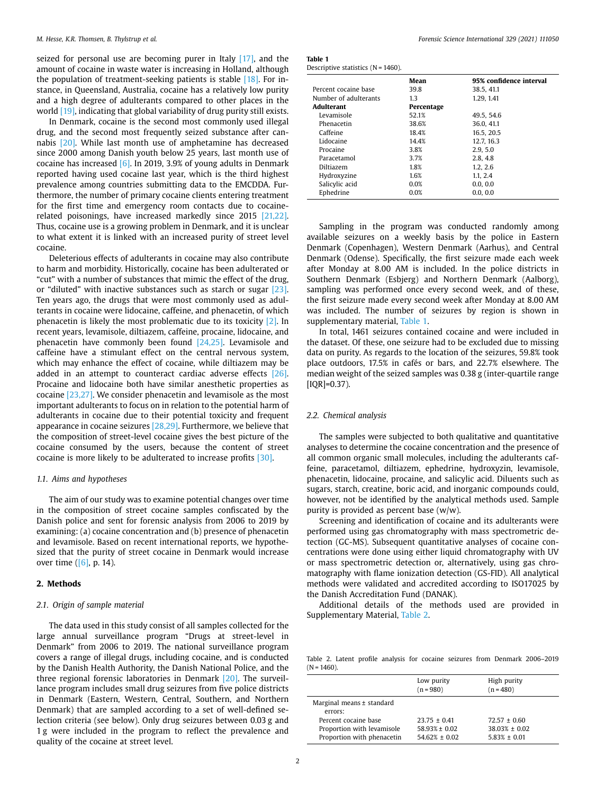seized for personal use are becoming purer in Italy [\[17\],](#page-7-13) and the amount of cocaine in waste water is increasing in Holland, although the population of treatment-seeking patients is stable [\[18\]](#page-7-14). For instance, in Queensland, Australia, cocaine has a relatively low purity and a high degree of adulterants compared to other places in the world [\[19\],](#page-7-15) indicating that global variability of drug purity still exists.

In Denmark, cocaine is the second most commonly used illegal drug, and the second most frequently seized substance after cannabis [\[20\]](#page-7-16). While last month use of amphetamine has decreased since 2000 among Danish youth below 25 years, last month use of cocaine has increased  $[6]$ . In 2019, 3.9% of young adults in Denmark reported having used cocaine last year, which is the third highest prevalence among countries submitting data to the EMCDDA. Furthermore, the number of primary cocaine clients entering treatment for the first time and emergency room contacts due to cocainerelated poisonings, have increased markedly since 2015 [\[21,22\].](#page-7-17) Thus, cocaine use is a growing problem in Denmark, and it is unclear to what extent it is linked with an increased purity of street level cocaine.

Deleterious effects of adulterants in cocaine may also contribute to harm and morbidity. Historically, cocaine has been adulterated or "cut" with a number of substances that mimic the effect of the drug, or "diluted" with inactive substances such as starch or sugar [\[23\].](#page-7-18) Ten years ago, the drugs that were most commonly used as adulterants in cocaine were lidocaine, caffeine, and phenacetin, of which phenacetin is likely the most problematic due to its toxicity [\[2\]](#page-7-1). In recent years, levamisole, diltiazem, caffeine, procaine, lidocaine, and phenacetin have commonly been found [\[24,25\].](#page-7-19) Levamisole and caffeine have a stimulant effect on the central nervous system, which may enhance the effect of cocaine, while diltiazem may be added in an attempt to counteract cardiac adverse effects [\[26\].](#page-7-20) Procaine and lidocaine both have similar anesthetic properties as cocaine [\[23,27\].](#page-7-21) We consider phenacetin and levamisole as the most important adulterants to focus on in relation to the potential harm of adulterants in cocaine due to their potential toxicity and frequent appearance in cocaine seizures [\[28,29\].](#page-7-22) Furthermore, we believe that the composition of street-level cocaine gives the best picture of the cocaine consumed by the users, because the content of street cocaine is more likely to be adulterated to increase profits [\[30\]](#page-7-23).

#### *1.1. Aims and hypotheses*

The aim of our study was to examine potential changes over time in the composition of street cocaine samples confiscated by the Danish police and sent for forensic analysis from 2006 to 2019 by examining: (a) cocaine concentration and (b) presence of phenacetin and levamisole. Based on recent international reports, we hypothesized that the purity of street cocaine in Denmark would increase over time  $([6], p. 14)$  $([6], p. 14)$ .

# **2. Methods**

#### *2.1. Origin of sample material*

The data used in this study consist of all samples collected for the large annual surveillance program "Drugs at street-level in Denmark" from 2006 to 2019. The national surveillance program covers a range of illegal drugs, including cocaine, and is conducted by the Danish Health Authority, the Danish National Police, and the three regional forensic laboratories in Denmark [\[20\].](#page-7-16) The surveillance program includes small drug seizures from five police districts in Denmark (Eastern, Western, Central, Southern, and Northern Denmark) that are sampled according to a set of well-defined selection criteria (see below). Only drug seizures between 0.03 g and 1g were included in the program to reflect the prevalence and quality of the cocaine at street level.

<span id="page-2-0"></span>

| taD!:<br><br>۰,<br>٠ | × |  |
|----------------------|---|--|
|                      |   |  |

| Descriptive statistics $(N = 1460)$ . |  |  |  |
|---------------------------------------|--|--|--|
|---------------------------------------|--|--|--|

|                       | Mean       | 95% confidence interval |
|-----------------------|------------|-------------------------|
| Percent cocaine base  | 39.8       | 38.5, 41.1              |
| Number of adulterants | 1.3        | 1.29.1.41               |
| Adulterant            | Percentage |                         |
| Levamisole            | 52.1%      | 49.5, 54.6              |
| Phenacetin            | 38.6%      | 36.0.41.1               |
| Caffeine              | 18.4%      | 16.5.20.5               |
| Lidocaine             | 14.4%      | 12.7.16.3               |
| Procaine              | 3.8%       | 2.9.5.0                 |
| Paracetamol           | 3.7%       | 2.8, 4.8                |
| Diltiazem             | 1.8%       | 1.2, 2.6                |
| Hydroxyzine           | 1.6%       | 1.1.2.4                 |
| Salicylic acid        | 0.0%       | 0.0, 0.0                |
| Ephedrine             | 0.0%       | 0.0.0.0                 |

Sampling in the program was conducted randomly among available seizures on a weekly basis by the police in Eastern Denmark (Copenhagen), Western Denmark (Aarhus), and Central Denmark (Odense). Specifically, the first seizure made each week after Monday at 8.00 AM is included. In the police districts in Southern Denmark (Esbjerg) and Northern Denmark (Aalborg), sampling was performed once every second week, and of these, the first seizure made every second week after Monday at 8.00 AM was included. The number of seizures by region is shown in supplementary material, [Table 1](#page-2-0).

In total, 1461 seizures contained cocaine and were included in the dataset. Of these, one seizure had to be excluded due to missing data on purity. As regards to the location of the seizures, 59.8% took place outdoors, 17.5% in cafés or bars, and 22.7% elsewhere. The median weight of the seized samples was 0.38 g (inter-quartile range  $[IQR]=0.37$ ).

# *2.2. Chemical analysis*

The samples were subjected to both qualitative and quantitative analyses to determine the cocaine concentration and the presence of all common organic small molecules, including the adulterants caffeine, paracetamol, diltiazem, ephedrine, hydroxyzin, levamisole, phenacetin, lidocaine, procaine, and salicylic acid. Diluents such as sugars, starch, creatine, boric acid, and inorganic compounds could, however, not be identified by the analytical methods used. Sample purity is provided as percent base  $(w/w)$ .

Screening and identification of cocaine and its adulterants were performed using gas chromatography with mass spectrometric detection (GC-MS). Subsequent quantitative analyses of cocaine concentrations were done using either liquid chromatography with UV or mass spectrometric detection or, alternatively, using gas chromatography with flame ionization detection (GS-FID). All analytical methods were validated and accredited according to ISO17025 by the Danish Accreditation Fund (DANAK).

Additional details of the methods used are provided in Supplementary Material, [Table 2.](#page-2-1)

<span id="page-2-1"></span>Table 2. Latent profile analysis for cocaine seizures from Denmark 2006–2019  $(N = 1460)$ 

|                                                                                  | Low purity<br>$(n = 980)$                                   | High purity<br>$(n = 480)$                                 |
|----------------------------------------------------------------------------------|-------------------------------------------------------------|------------------------------------------------------------|
| Marginal means $\pm$ standard<br>errors:                                         |                                                             |                                                            |
| Percent cocaine base<br>Proportion with levamisole<br>Proportion with phenacetin | $23.75 \pm 0.41$<br>$58.93% \pm 0.02$<br>$54.62\% \pm 0.02$ | $72.57 \pm 0.60$<br>$38.03% \pm 0.02$<br>$5.83\% \pm 0.01$ |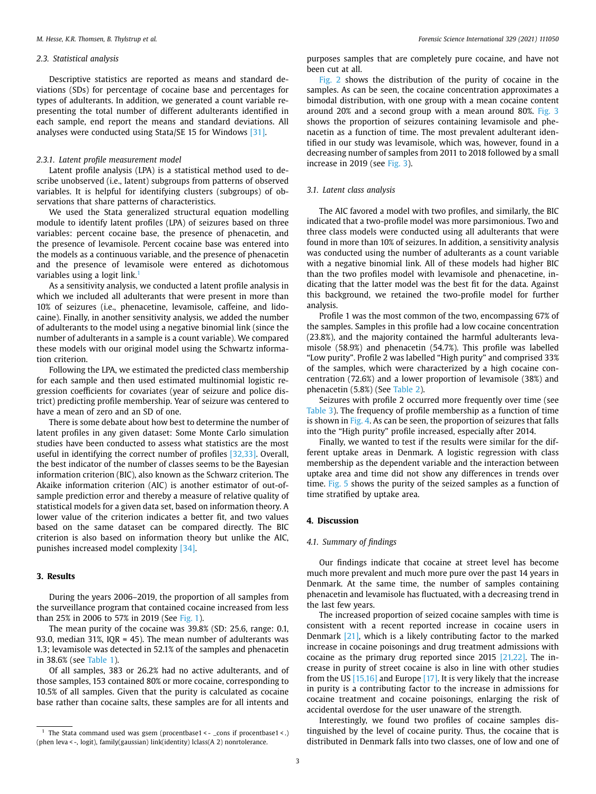### *2.3. Statistical analysis*

Descriptive statistics are reported as means and standard deviations (SDs) for percentage of cocaine base and percentages for types of adulterants. In addition, we generated a count variable representing the total number of different adulterants identified in each sample, end report the means and standard deviations. All analyses were conducted using Stata/SE 15 for Windows [\[31\].](#page-7-24)

#### *2.3.1. Latent profile measurement model*

Latent profile analysis (LPA) is a statistical method used to describe unobserved (i.e., latent) subgroups from patterns of observed variables. It is helpful for identifying clusters (subgroups) of observations that share patterns of characteristics.

We used the Stata generalized structural equation modelling module to identify latent profiles (LPA) of seizures based on three variables: percent cocaine base, the presence of phenacetin, and the presence of levamisole. Percent cocaine base was entered into the models as a continuous variable, and the presence of phenacetin and the presence of levamisole were entered as dichotomous variables using a logit link.<sup>1</sup>

As a sensitivity analysis, we conducted a latent profile analysis in which we included all adulterants that were present in more than 10% of seizures (i.e., phenacetine, levamisole, caffeine, and lidocaine). Finally, in another sensitivity analysis, we added the number of adulterants to the model using a negative binomial link (since the number of adulterants in a sample is a count variable). We compared these models with our original model using the Schwartz information criterion.

Following the LPA, we estimated the predicted class membership for each sample and then used estimated multinomial logistic regression coefficients for covariates (year of seizure and police district) predicting profile membership. Year of seizure was centered to have a mean of zero and an SD of one.

There is some debate about how best to determine the number of latent profiles in any given dataset: Some Monte Carlo simulation studies have been conducted to assess what statistics are the most useful in identifying the correct number of profiles [\[32,33\].](#page-7-25) Overall, the best indicator of the number of classes seems to be the Bayesian information criterion (BIC), also known as the Schwarz criterion. The Akaike information criterion (AIC) is another estimator of out-ofsample prediction error and thereby a measure of relative quality of statistical models for a given data set, based on information theory. A lower value of the criterion indicates a better fit, and two values based on the same dataset can be compared directly. The BIC criterion is also based on information theory but unlike the AIC, punishes increased model complexity [\[34\]](#page-7-26).

# **3. Results**

During the years 2006–2019, the proportion of all samples from the surveillance program that contained cocaine increased from less than 25% in 2006 to 57% in 2019 (See [Fig. 1](#page-4-0)).

The mean purity of the cocaine was 39.8% (SD: 25.6, range: 0.1, 93.0, median 31%, IQR = 45). The mean number of adulterants was 1.3; levamisole was detected in 52.1% of the samples and phenacetin in 38.6% (see [Table 1](#page-2-0)).

Of all samples, 383 or 26.2% had no active adulterants, and of those samples, 153 contained 80% or more cocaine, corresponding to 10.5% of all samples. Given that the purity is calculated as cocaine base rather than cocaine salts, these samples are for all intents and purposes samples that are completely pure cocaine, and have not been cut at all.

[Fig. 2](#page-4-1) shows the distribution of the purity of cocaine in the samples. As can be seen, the cocaine concentration approximates a bimodal distribution, with one group with a mean cocaine content around 20% and a second group with a mean around 80%. [Fig. 3](#page-5-0)  shows the proportion of seizures containing levamisole and phenacetin as a function of time. The most prevalent adulterant identified in our study was levamisole, which was, however, found in a decreasing number of samples from 2011 to 2018 followed by a small increase in 2019 (see [Fig. 3\)](#page-5-0).

### *3.1. Latent class analysis*

The AIC favored a model with two profiles, and similarly, the BIC indicated that a two-profile model was more parsimonious. Two and three class models were conducted using all adulterants that were found in more than 10% of seizures. In addition, a sensitivity analysis was conducted using the number of adulterants as a count variable with a negative binomial link. All of these models had higher BIC than the two profiles model with levamisole and phenacetine, indicating that the latter model was the best fit for the data. Against this background, we retained the two-profile model for further analysis.

Profile 1 was the most common of the two, encompassing 67% of the samples. Samples in this profile had a low cocaine concentration (23.8%), and the majority contained the harmful adulterants levamisole (58.9%) and phenacetin (54.7%). This profile was labelled "Low purity". Profile 2 was labelled "High purity" and comprised 33% of the samples, which were characterized by a high cocaine concentration (72.6%) and a lower proportion of levamisole (38%) and phenacetin (5.8%) (See [Table 2](#page-2-1)).

Seizures with profile 2 occurred more frequently over time (see [Table 3](#page-5-1)). The frequency of profile membership as a function of time is shown in [Fig. 4](#page-5-2). As can be seen, the proportion of seizures that falls into the "High purity" profile increased, especially after 2014.

Finally, we wanted to test if the results were similar for the different uptake areas in Denmark. A logistic regression with class membership as the dependent variable and the interaction between uptake area and time did not show any differences in trends over time. [Fig. 5](#page-6-0) shows the purity of the seized samples as a function of time stratified by uptake area.

# **4. Discussion**

#### *4.1. Summary of findings*

Our findings indicate that cocaine at street level has become much more prevalent and much more pure over the past 14 years in Denmark. At the same time, the number of samples containing phenacetin and levamisole has fluctuated, with a decreasing trend in the last few years.

The increased proportion of seized cocaine samples with time is consistent with a recent reported increase in cocaine users in Denmark [\[21\],](#page-7-17) which is a likely contributing factor to the marked increase in cocaine poisonings and drug treatment admissions with cocaine as the primary drug reported since 2015 [\[21,22\]](#page-7-17). The increase in purity of street cocaine is also in line with other studies from the US  $[15,16]$  and Europe  $[17]$ . It is very likely that the increase in purity is a contributing factor to the increase in admissions for cocaine treatment and cocaine poisonings, enlarging the risk of accidental overdose for the user unaware of the strength.

Interestingly, we found two profiles of cocaine samples distinguished by the level of cocaine purity. Thus, the cocaine that is distributed in Denmark falls into two classes, one of low and one of

<span id="page-3-0"></span><sup>&</sup>lt;sup>1</sup> The Stata command used was gsem (procentbase1 < - \_cons if procentbase1 < .) (phen leva < -, logit), family(gaussian) link(identity) lclass(A 2) nonrtolerance.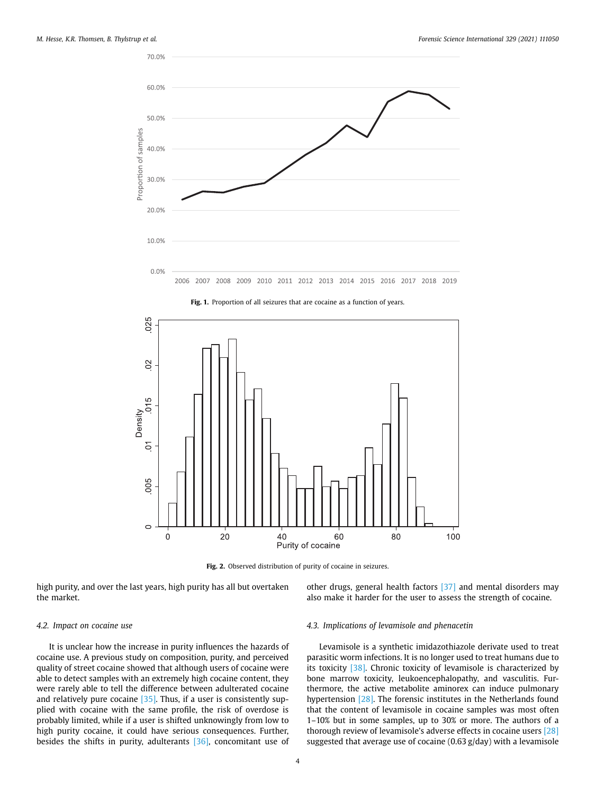<span id="page-4-0"></span>

<span id="page-4-1"></span>

Fig. 1. Proportion of all seizures that are cocaine as a function of years.

Fig. 2. Observed distribution of purity of cocaine in seizures.

high purity, and over the last years, high purity has all but overtaken the market.

other drugs, general health factors [\[37\]](#page-7-29) and mental disorders may also make it harder for the user to assess the strength of cocaine.

### *4.2. Impact on cocaine use*

It is unclear how the increase in purity influences the hazards of cocaine use. A previous study on composition, purity, and perceived quality of street cocaine showed that although users of cocaine were able to detect samples with an extremely high cocaine content, they were rarely able to tell the difference between adulterated cocaine and relatively pure cocaine  $[35]$ . Thus, if a user is consistently supplied with cocaine with the same profile, the risk of overdose is probably limited, while if a user is shifted unknowingly from low to high purity cocaine, it could have serious consequences. Further, besides the shifts in purity, adulterants [\[36\],](#page-7-28) concomitant use of

#### *4.3. Implications of levamisole and phenacetin*

Levamisole is a synthetic imidazothiazole derivate used to treat parasitic worm infections. It is no longer used to treat humans due to its toxicity [\[38\]](#page-7-30). Chronic toxicity of levamisole is characterized by bone marrow toxicity, leukoencephalopathy, and vasculitis. Furthermore, the active metabolite aminorex can induce pulmonary hypertension [\[28\]](#page-7-31). The forensic institutes in the Netherlands found that the content of levamisole in cocaine samples was most often 1–10% but in some samples, up to 30% or more. The authors of a thorough review of levamisole's adverse effects in cocaine users [\[28\]](#page-7-31)  suggested that average use of cocaine (0.63 g/day) with a levamisole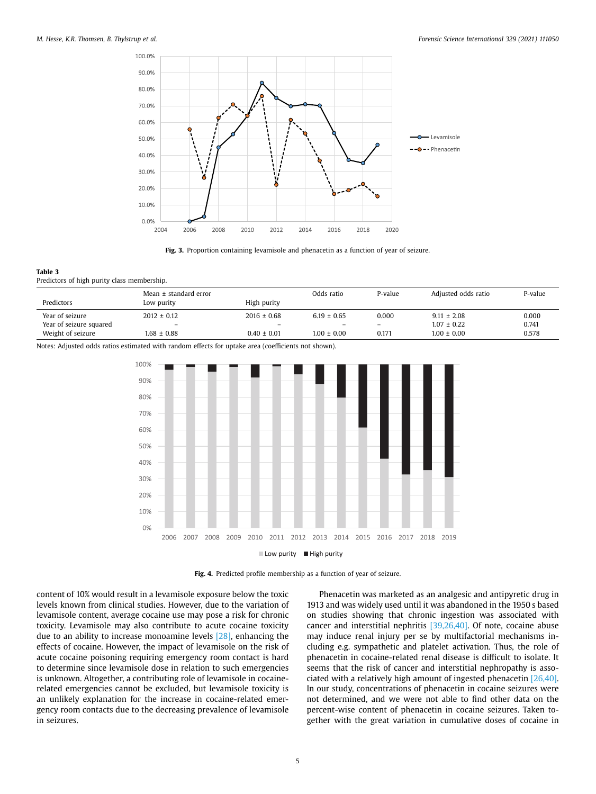<span id="page-5-0"></span>

**Fig. 3.** Proportion containing levamisole and phenacetin as a function of year of seizure.

#### <span id="page-5-1"></span>**Table 3**  Predictors of high purity class membership.

|                         | Mean $\pm$ standard error |                          | Odds ratio      | P-value                  | Adiusted odds ratio | P-value |
|-------------------------|---------------------------|--------------------------|-----------------|--------------------------|---------------------|---------|
| Predictors              | Low purity                | High purity              |                 |                          |                     |         |
| Year of seizure         | $2012 \pm 0.12$           | $2016 \pm 0.68$          | $6.19 \pm 0.65$ | 0.000                    | $9.11 \pm 2.08$     | 0.000   |
| Year of seizure squared | $\overline{\phantom{0}}$  | $\overline{\phantom{0}}$ | -               | $\overline{\phantom{0}}$ | $1.07 \pm 0.22$     | 0.741   |
| Weight of seizure       | $1.68 \pm 0.88$           | $0.40 \pm 0.01$          | $1.00 \pm 0.00$ | 0.171                    | $1.00 \pm 0.00$     | 0.578   |

<span id="page-5-2"></span>Notes: Adjusted odds ratios estimated with random effects for uptake area (coefficients not shown).



**Fig. 4.** Predicted profile membership as a function of year of seizure.

content of 10% would result in a levamisole exposure below the toxic levels known from clinical studies. However, due to the variation of levamisole content, average cocaine use may pose a risk for chronic toxicity. Levamisole may also contribute to acute cocaine toxicity due to an ability to increase monoamine levels [\[28\],](#page-7-31) enhancing the effects of cocaine. However, the impact of levamisole on the risk of acute cocaine poisoning requiring emergency room contact is hard to determine since levamisole dose in relation to such emergencies is unknown. Altogether, a contributing role of levamisole in cocainerelated emergencies cannot be excluded, but levamisole toxicity is an unlikely explanation for the increase in cocaine-related emergency room contacts due to the decreasing prevalence of levamisole in seizures.

Phenacetin was marketed as an analgesic and antipyretic drug in 1913 and was widely used until it was abandoned in the 1950 s based on studies showing that chronic ingestion was associated with cancer and interstitial nephritis [\[39,26,40\]](#page-7-32). Of note, cocaine abuse may induce renal injury per se by multifactorial mechanisms including e.g. sympathetic and platelet activation. Thus, the role of phenacetin in cocaine-related renal disease is difficult to isolate. It seems that the risk of cancer and interstitial nephropathy is associated with a relatively high amount of ingested phenacetin [\[26,40\].](#page-7-32) In our study, concentrations of phenacetin in cocaine seizures were not determined, and we were not able to find other data on the percent-wise content of phenacetin in cocaine seizures. Taken together with the great variation in cumulative doses of cocaine in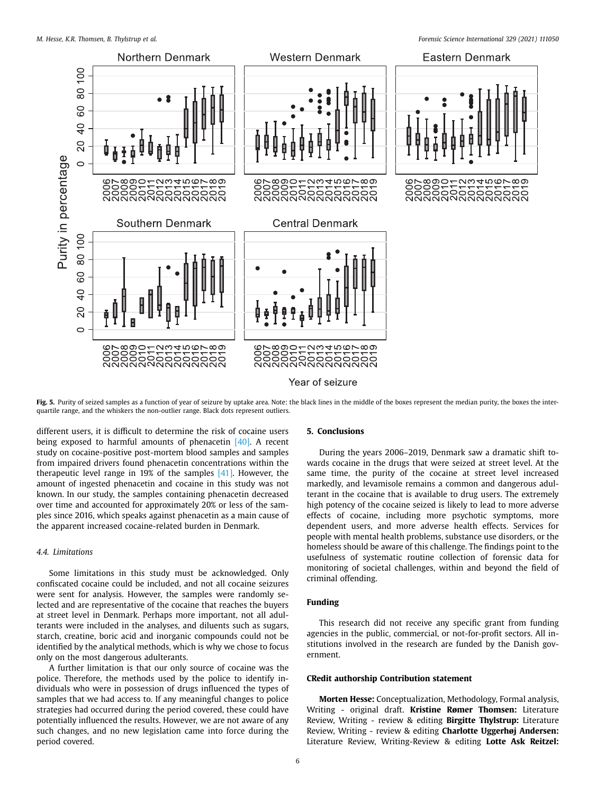<span id="page-6-0"></span>

Year of seizure

Fig. 5. Purity of seized samples as a function of year of seizure by uptake area. Note: the black lines in the middle of the boxes represent the median purity, the boxes the interquartile range, and the whiskers the non-outlier range. Black dots represent outliers.

different users, it is difficult to determine the risk of cocaine users being exposed to harmful amounts of phenacetin [\[40\].](#page-7-32) A recent study on cocaine-positive post-mortem blood samples and samples from impaired drivers found phenacetin concentrations within the therapeutic level range in 19% of the samples [\[41\]](#page-7-33). However, the amount of ingested phenacetin and cocaine in this study was not known. In our study, the samples containing phenacetin decreased over time and accounted for approximately 20% or less of the samples since 2016, which speaks against phenacetin as a main cause of the apparent increased cocaine-related burden in Denmark.

# *4.4. Limitations*

Some limitations in this study must be acknowledged. Only confiscated cocaine could be included, and not all cocaine seizures were sent for analysis. However, the samples were randomly selected and are representative of the cocaine that reaches the buyers at street level in Denmark. Perhaps more important, not all adulterants were included in the analyses, and diluents such as sugars, starch, creatine, boric acid and inorganic compounds could not be identified by the analytical methods, which is why we chose to focus only on the most dangerous adulterants.

A further limitation is that our only source of cocaine was the police. Therefore, the methods used by the police to identify individuals who were in possession of drugs influenced the types of samples that we had access to. If any meaningful changes to police strategies had occurred during the period covered, these could have potentially influenced the results. However, we are not aware of any such changes, and no new legislation came into force during the period covered.

### **5. Conclusions**

During the years 2006–2019, Denmark saw a dramatic shift towards cocaine in the drugs that were seized at street level. At the same time, the purity of the cocaine at street level increased markedly, and levamisole remains a common and dangerous adulterant in the cocaine that is available to drug users. The extremely high potency of the cocaine seized is likely to lead to more adverse effects of cocaine, including more psychotic symptoms, more dependent users, and more adverse health effects. Services for people with mental health problems, substance use disorders, or the homeless should be aware of this challenge. The findings point to the usefulness of systematic routine collection of forensic data for monitoring of societal challenges, within and beyond the field of criminal offending.

# **Funding**

This research did not receive any specific grant from funding agencies in the public, commercial, or not-for-profit sectors. All institutions involved in the research are funded by the Danish government.

### **CRedit authorship Contribution statement**

**Morten Hesse:** Conceptualization, Methodology, Formal analysis, Writing - original draft. **Kristine Rømer Thomsen:** Literature Review, Writing - review & editing **Birgitte Thylstrup:** Literature Review, Writing - review & editing **Charlotte Uggerhøj Andersen:**  Literature Review, Writing-Review & editing **Lotte Ask Reitzel:**